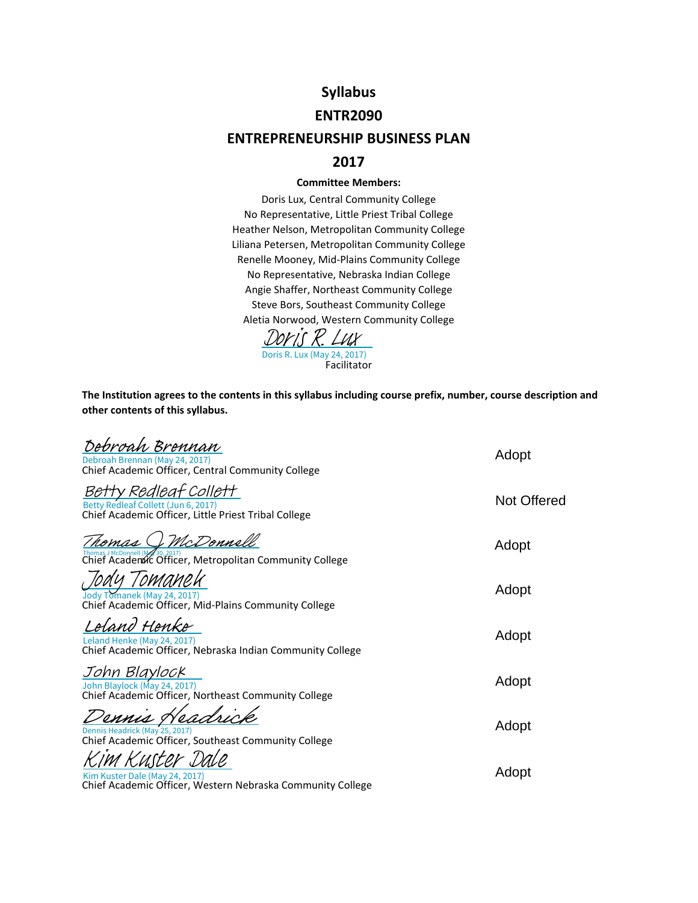# **Syllabus**

#### **ENTR2090**

## **ENTREPRENEURSHIP BUSINESS PLAN**

#### **2017**

#### **Committee Members:**

Doris Lux, Central Community College No Representative, Little Priest Tribal College Heather Nelson, Metropolitan Community College Liliana Petersen, Metropolitan Community College Renelle Mooney, Mid‐Plains Community College No Representative, Nebraska Indian College Angie Shaffer, Northeast Community College Steve Bors, Southeast Community College Aletia Norwood, Western Community College

**Facilitator** Doris R. Lux (May 24, 2017)  $K$  Lux

**The Institution agrees to the contents in this syllabus including course prefix, number, course description and other contents of this syllabus.**

| Debroah Brennan<br>Debroah Brennan (May 24, 2017)<br>Chief Academic Officer, Central Community College               | Adopt       |
|----------------------------------------------------------------------------------------------------------------------|-------------|
| Betty Redleaf Collett<br>Betty Redleaf Collett (Jun 6, 2017)<br>Chief Academic Officer, Little Priest Tribal College | Not Offered |
| McDonnell<br>Chief Academic Officer, Metropolitan Community College                                                  | Adopt       |
| Jody Tomanek (May 24, 2017)<br>Chief Academic Officer, Mid-Plains Community College                                  | Adopt       |
| eland Henke<br>Leland Henke (May 24, 2017)<br>Chief Academic Officer, Nebraska Indian Community College              | Adopt       |
| John Blaylock<br>John Blaylock (May 24, 2017)<br>Chief Academic Officer, Northeast Community College                 | Adopt       |
| Dennis Headrick (May 25, 2017)<br>Chief Academic Officer, Southeast Community College                                | Adopt       |
| Kim Kuster Dale (May 24, 2017)<br>Chief Academic Officer, Western Nebraska Community College                         | Adopt       |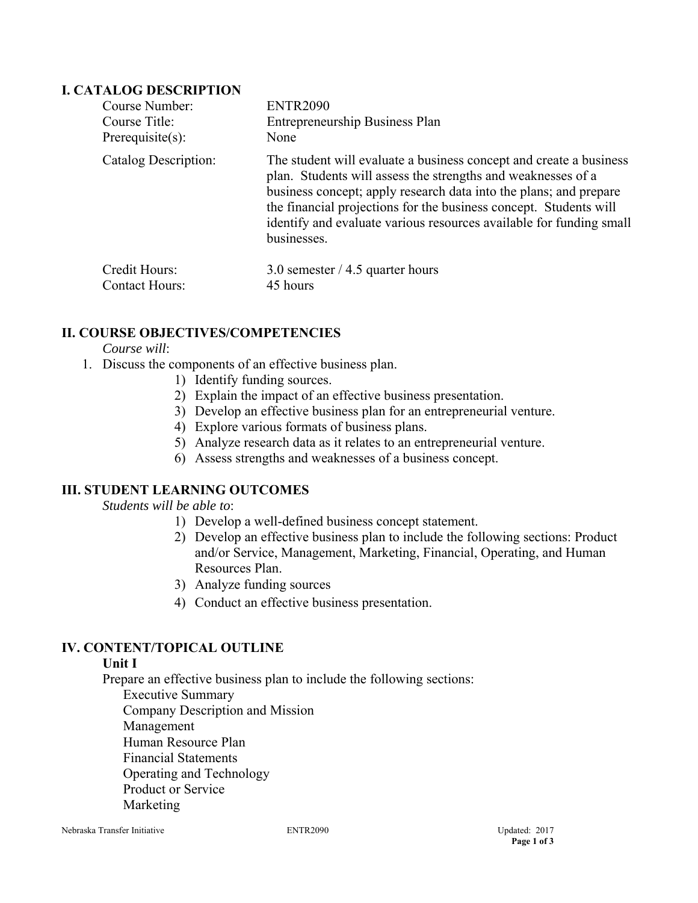## **I. CATALOG DESCRIPTION**

| Course Number:        | <b>ENTR2090</b>                                                                                                                                                                                                                                                                                                                                                    |
|-----------------------|--------------------------------------------------------------------------------------------------------------------------------------------------------------------------------------------------------------------------------------------------------------------------------------------------------------------------------------------------------------------|
| Course Title:         | Entrepreneurship Business Plan                                                                                                                                                                                                                                                                                                                                     |
| Prerequisite $(s)$ :  | None                                                                                                                                                                                                                                                                                                                                                               |
| Catalog Description:  | The student will evaluate a business concept and create a business<br>plan. Students will assess the strengths and weaknesses of a<br>business concept; apply research data into the plans; and prepare<br>the financial projections for the business concept. Students will<br>identify and evaluate various resources available for funding small<br>businesses. |
| Credit Hours:         | 3.0 semester $/$ 4.5 quarter hours                                                                                                                                                                                                                                                                                                                                 |
| <b>Contact Hours:</b> | 45 hours                                                                                                                                                                                                                                                                                                                                                           |

# **II. COURSE OBJECTIVES/COMPETENCIES**

#### *Course will*:

- 1. Discuss the components of an effective business plan.
	- 1) Identify funding sources.
	- 2) Explain the impact of an effective business presentation.
	- 3) Develop an effective business plan for an entrepreneurial venture.
	- 4) Explore various formats of business plans.
	- 5) Analyze research data as it relates to an entrepreneurial venture.
	- 6) Assess strengths and weaknesses of a business concept.

# **III. STUDENT LEARNING OUTCOMES**

*Students will be able to*:

- 1) Develop a well-defined business concept statement.
- 2) Develop an effective business plan to include the following sections: Product and/or Service, Management, Marketing, Financial, Operating, and Human Resources Plan.
- 3) Analyze funding sources
- 4) Conduct an effective business presentation.

# **IV. CONTENT/TOPICAL OUTLINE**

#### **Unit I**

Prepare an effective business plan to include the following sections:

Executive Summary Company Description and Mission Management Human Resource Plan Financial Statements Operating and Technology Product or Service Marketing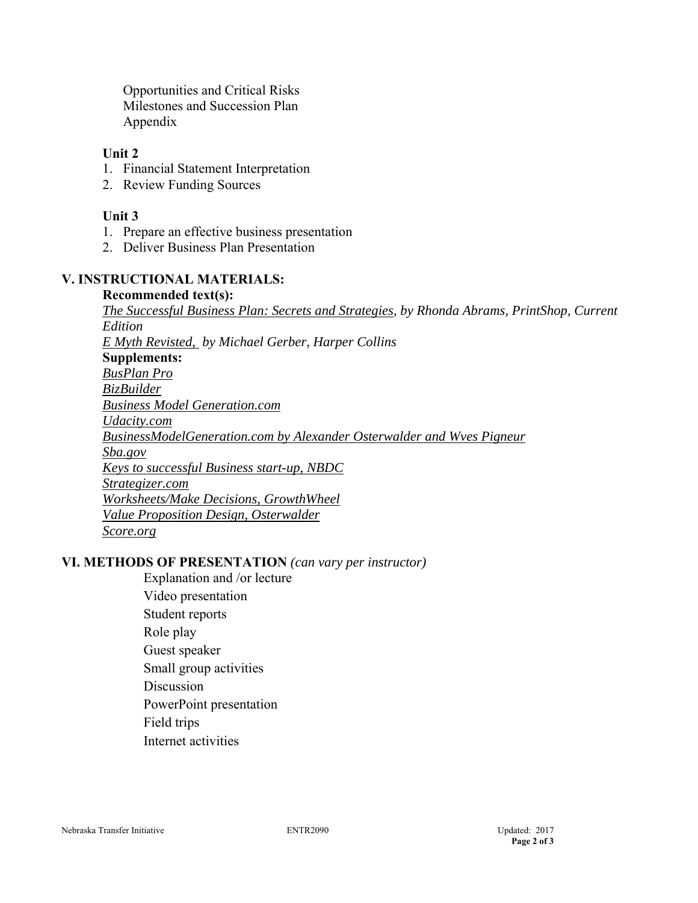Opportunities and Critical Risks Milestones and Succession Plan Appendix

#### **Unit 2**

- 1. Financial Statement Interpretation
- 2. Review Funding Sources

## **Unit 3**

- 1. Prepare an effective business presentation
- 2. Deliver Business Plan Presentation

# **V. INSTRUCTIONAL MATERIALS:**

**Recommended text(s):** *The Successful Business Plan: Secrets and Strategies, by Rhonda Abrams, PrintShop, Current Edition E Myth Revisted, by Michael Gerber, Harper Collins*  **Supplements:**  *BusPlan Pro BizBuilder Business Model Generation.com Udacity.com BusinessModelGeneration.com by Alexander Osterwalder and Wves Pigneur Sba.gov Keys to successful Business start-up, NBDC Strategizer.com Worksheets/Make Decisions, GrowthWheel Value Proposition Design, Osterwalder Score.org* 

## **VI. METHODS OF PRESENTATION** *(can vary per instructor)*

- Explanation and /or lecture Video presentation Student reports Role play Guest speaker Small group activities **Discussion** PowerPoint presentation Field trips
- Internet activities